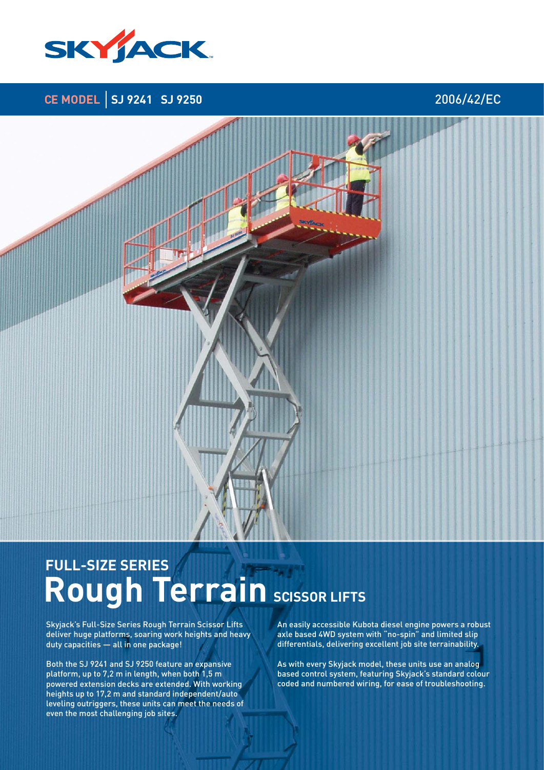

**CE MODEL SJ 9241 SJ 9250** 2006/42/EC

# **Rough Terrain SCISSOR LIFTS FULL-SIZE SERIES**

Skyjack's Full-Size Series Rough Terrain Scissor Lifts deliver huge platforms, soaring work heights and heavy duty capacities — all in one package!

Both the SJ 9241 and SJ 9250 feature an expansive platform, up to 7,2 m in length, when both 1,5 m powered extension decks are extended. With working heights up to 17,2 m and standard independent/auto leveling outriggers, these units can meet the needs of even the most challenging job sites.

An easily accessible Kubota diesel engine powers a robust axle based 4WD system with "no-spin" and limited slip differentials, delivering excellent job site terrainability.

As with every Skyjack model, these units use an analog based control system, featuring Skyjack's standard colour coded and numbered wiring, for ease of troubleshooting.